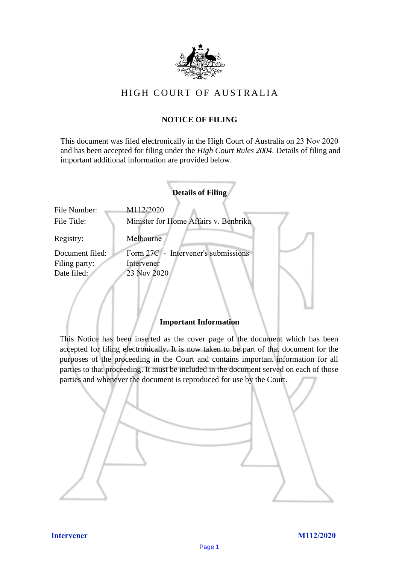

# HIGH COURT OF AUSTRALIA

# **NOTICE OF FILING**

This document was filed electronically in the High Court of Australia on 23 Nov 2020 and has been accepted for filing under the *High Court Rules 2004*. Details of filing and important additional information are provided below.

|                             | <b>Details of Filing</b>                           |
|-----------------------------|----------------------------------------------------|
| File Number:<br>File Title: | M112/2020<br>Minister for Home Affairs v. Benbrika |
| Registry:                   | Melbourne                                          |
| Document filed:             | Form 27C - Intervener's submissions                |
| Filing party:               | Intervener                                         |
| Date filed:                 | 23 Nov 2020                                        |
|                             |                                                    |

# **Important Information**

This Notice has been inserted as the cover page of the document which has been accepted for filing electronically. It is now taken to be part of that document for the purposes of the proceeding in the Court and contains important information for all parties to that proceeding. It must be included in the document served on each of those parties and whenever the document is reproduced for use by the Court.

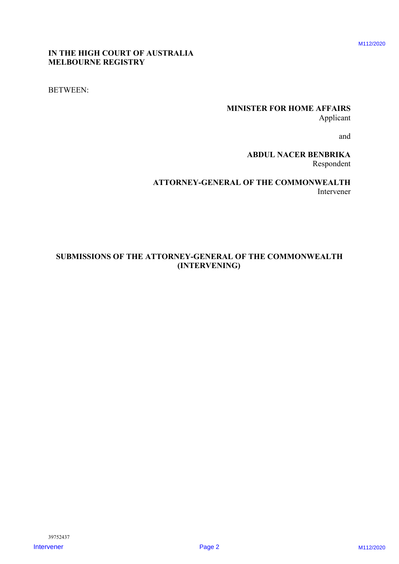# **IN THE HIGH COURT OF AUSTRALIA MELBOURNE REGISTRY**

BETWEEN:

# **MINISTER FOR HOME AFFAIRS** Applicant

and

**ABDUL NACER BENBRIKA** Respondent

**ATTORNEY-GENERAL OF THE COMMONWEALTH** Intervener

# **SUBMISSIONS OF THE ATTORNEY-GENERAL OF THE COMMONWEALTH (INTERVENING)** IN THE HIGH COULT OF AUSTRALIA<br>
INTERVENER TOR HOME APPAIRS<br>
ARDEN AN ARCHER MINISTER FOR HOME APPAIRS<br>
ARDEN AN BANDIN ANCER BANDING<br>
ATTORVEY-GESEERAL OF THE COMMONWEALTH<br>
SUBMISSIONS OF THE ATTORVEY-GENERAL OF THE COMMO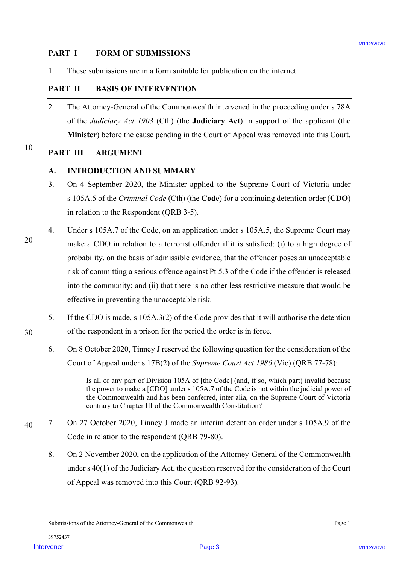### **PART I FORM OF SUBMISSIONS**

1. These submissions are in a form suitable for publication on the internet.

### **PART II BASIS OF INTERVENTION**

2. The Attorney-General of the Commonwealth intervened in the proceeding under s 78A of the *Judiciary Act 1903* (Cth) (the **Judiciary Act**) in support of the applicant (the **Minister**) before the cause pending in the Court of Appeal was removed into this Court.

### 10 **PART III ARGUMENT**

### **A. INTRODUCTION AND SUMMARY**

- 3. On 4 September 2020, the Minister applied to the Supreme Court of Victoria under s 105A.5 of the *Criminal Code* (Cth) (the **Code**) for a continuing detention order (**CDO**) in relation to the Respondent (QRB 3-5).
- 4. Under s 105A.7 of the Code, on an application under s 105A.5, the Supreme Court may make a CDO in relation to a terrorist offender if it is satisfied: (i) to a high degree of probability, on the basis of admissible evidence, that the offender poses an unacceptable risk of committing a serious offence against Pt 5.3 of the Code if the offender is released into the community; and (ii) that there is no other less restrictive measure that would be effective in preventing the unacceptable risk. **PART 1 FORM OF SURVALISHONS**<br>
1. These submissions are in a form stable for publication on the internet.<br> **PART III** BASIS OF INTERVENTIFY<br>
2. The Albertony Greend of the Communevatib interveneral in the protecting und
	- 5. If the CDO is made, s 105A.3(2) of the Code provides that it will authorise the detention of the respondent in a prison for the period the order is in force.
		- 6. On 8 October 2020, Tinney J reserved the following question for the consideration of the Court of Appeal under s 17B(2) of the *Supreme Court Act 1986* (Vic) (QRB 77-78):

Is all or any part of Division 105A of [the Code] (and, if so, which part) invalid because the power to make a [CDO] under s 105A.7 of the Code is not within the judicial power of the Commonwealth and has been conferred, inter alia, on the Supreme Court of Victoria contrary to Chapter III of the Commonwealth Constitution?

- 40 7. On 27 October 2020, Tinney J made an interim detention order under s 105A.9 of the Code in relation to the respondent (QRB 79-80).
	- 8. On 2 November 2020, on the application of the Attorney-General of the Commonwealth under s 40(1) of the Judiciary Act, the question reserved for the consideration of the Court of Appeal was removed into this Court (QRB 92-93).

Submissions of the Attorney-General of the Commonwealth Page 1

30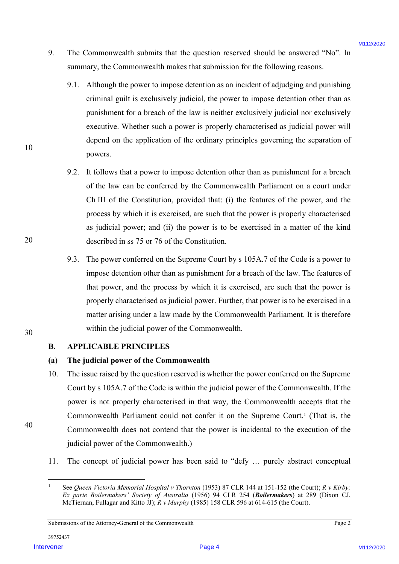- 9. The Commonwealth submits that the question reserved should be answered "No". In summary, the Commonwealth makes that submission for the following reasons.
	- 9.1. Although the power to impose detention as an incident of adjudging and punishing criminal guilt is exclusively judicial, the power to impose detention other than as punishment for a breach of the law is neither exclusively judicial nor exclusively executive. Whether such a power is properly characterised as judicial power will depend on the application of the ordinary principles governing the separation of powers.
	- 9.2. It follows that a power to impose detention other than as punishment for a breach of the law can be conferred by the Commonwealth Parliament on a court under Ch III of the Constitution, provided that: (i) the features of the power, and the process by which it is exercised, are such that the power is properly characterised as judicial power; and (ii) the power is to be exercised in a matter of the kind described in ss 75 or 76 of the Constitution.
	- 9.3. The power conferred on the Supreme Court by s 105A.7 of the Code is a power to impose detention other than as punishment for a breach of the law. The features of that power, and the process by which it is exercised, are such that the power is properly characterised as judicial power. Further, that power is to be exercised in a matter arising under a law made by the Commonwealth Parliament. It is therefore within the judicial power of the Commonwealth.
- **B. APPLICABLE PRINCIPLES**

## **(a) The judicial power of the Commonwealth**

- 10. The issue raised by the question reserved is whether the power conferred on the Supreme Court by s 105A.7 of the Code is within the judicial power of the Commonwealth. If the power is not properly characterised in that way, the Commonwealth accepts that the Commonwealth Parliament could not confer it on the Supreme Court.1 (That is, the Commonwealth does not contend that the power is incidental to the execution of the judicial power of the Commonwealth.) 9. The Commonwealth sohmuls that the question reserved should be answered "Wo" in<br>
summary, the Commonwealth makes that should have been following contains.<br>
9.1. Although the power to impose detertion as an incident of a
	- 11. The concept of judicial power has been said to "defy … purely abstract conceptual

10

 <sup>1</sup> See *Queen Victoria Memorial Hospital v Thornton* (1953) 87 CLR 144 at 151-152 (the Court); *R v Kirby; Ex parte Boilermakers' Society of Australia* (1956) 94 CLR 254 (*Boilermakers*) at 289 (Dixon CJ, McTiernan, Fullagar and Kitto JJ); *R v Murphy* (1985) 158 CLR 596 at 614-615 (the Court).

Submissions of the Attorney-General of the Commonwealth Page 2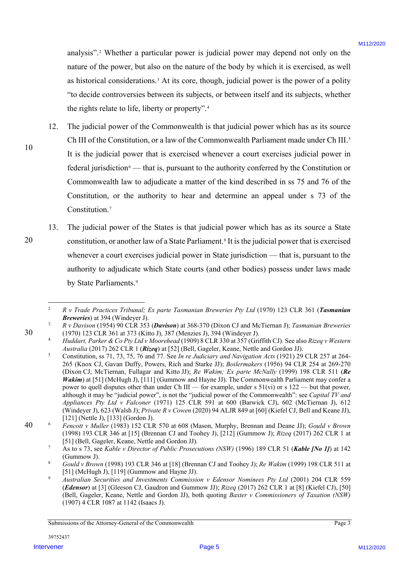analysis".2 Whether a particular power is judicial power may depend not only on the nature of the power, but also on the nature of the body by which it is exercised, as well as historical considerations.3 At its core, though, judicial power is the power of a polity "to decide controversies between its subjects, or between itself and its subjects, whether the rights relate to life, liberty or property".4

- 12. The judicial power of the Commonwealth is that judicial power which has as its source Ch III of the Constitution, or a law of the Commonwealth Parliament made under Ch III.<sup>5</sup> It is the judicial power that is exercised whenever a court exercises judicial power in federal jurisdiction<sup>6</sup> — that is, pursuant to the authority conferred by the Constitution or Commonwealth law to adjudicate a matter of the kind described in ss 75 and 76 of the Constitution, or the authority to hear and determine an appeal under s 73 of the Constitution.7 analyses". Whether a particular power is judicial power my depend not only on the nature of the power behinds a stresstein as well as the stresstein as well as the stresstein and the stresstein as well as the stresstein a
	- 13. The judicial power of the States is that judicial power which has as its source a State constitution, or another law of a State Parliament.8 It is the judicial power that is exercised whenever a court exercises judicial power in State jurisdiction — that is, pursuant to the authority to adjudicate which State courts (and other bodies) possess under laws made by State Parliaments.<sup>9</sup>

40

10

 <sup>2</sup> *R v Trade Practices Tribunal; Ex parte Tasmanian Breweries Pty Ltd* (1970) 123 CLR 361 (*Tasmanian Breweries*) at 394 (Windeyer J).

<sup>3</sup> *R v Davison* (1954) 90 CLR 353 (*Davison*) at 368-370 (Dixon CJ and McTiernan J); *Tasmanian Breweries* (1970) 123 CLR 361 at 373 (Kitto J), 387 (Menzies J), 394 (Windeyer J).

<sup>4</sup> *Huddart, Parker & Co Pty Ltd v Moorehead* (1909) 8 CLR 330 at 357 (Griffith CJ). See also *Rizeq v Western Australia* (2017) 262 CLR 1 (*Rizeq*) at [52] (Bell, Gageler, Keane, Nettle and Gordon JJ).

<sup>5</sup> Constitution, ss 71, 73, 75, 76 and 77. See *In re Judiciary and Navigation Acts* (1921) 29 CLR 257 at 264- 265 (Knox CJ, Gavan Duffy, Powers, Rich and Starke JJ); *Boilermakers* (1956) 94 CLR 254 at 269-270 (Dixon CJ, McTiernan, Fullagar and Kitto JJ); *Re Wakim; Ex parte McNally* (1999) 198 CLR 511 (*Re Wakim*) at [51] (McHugh J), [111] (Gummow and Hayne JJ). The Commonwealth Parliament may confer a power to quell disputes other than under Ch III — for example, under s 51(vi) or s 122 — but that power, although it may be "judicial power", is not the "judicial power of the Commonwealth": see *Capital TV and Appliances Pty Ltd v Falconer* (1971) 125 CLR 591 at 600 (Barwick CJ), 602 (McTiernan J), 612 (Windeyer J), 623 (Walsh J); *Private R v Cowen* (2020) 94 ALJR 849 at [60] (Kiefel CJ, Bell and Keane JJ), [121] (Nettle J), [133] (Gordon J).

<sup>6</sup> *Fencott v Muller* (1983) 152 CLR 570 at 608 (Mason, Murphy, Brennan and Deane JJ); *Gould v Brown* (1998) 193 CLR 346 at [15] (Brennan CJ and Toohey J), [212] (Gummow J); *Rizeq* (2017) 262 CLR 1 at [51] (Bell, Gageler, Keane, Nettle and Gordon JJ).

<sup>7</sup> As to s 73, see *Kable v Director of Public Prosecutions (NSW)* (1996) 189 CLR 51 (*Kable [No 1]*) at 142 (Gummow J).

<sup>8</sup> *Gould v Brown* (1998) 193 CLR 346 at [18] (Brennan CJ and Toohey J); *Re Wakim* (1999) 198 CLR 511 at [51] (McHugh J), [119] (Gummow and Hayne JJ).

<sup>9</sup> *Australian Securities and Investments Commission v Edensor Nominees Pty Ltd* (2001) 204 CLR 559 (*Edensor*) at [3] (Gleeson CJ, Gaudron and Gummow JJ); *Rizeq* (2017) 262 CLR 1 at [8] (Kiefel CJ), [50] (Bell, Gageler, Keane, Nettle and Gordon JJ), both quoting *Baxter v Commissioners of Taxation (NSW)*  (1907) 4 CLR 1087 at 1142 (Isaacs J).

Submissions of the Attorney-General of the Commonwealth Page 3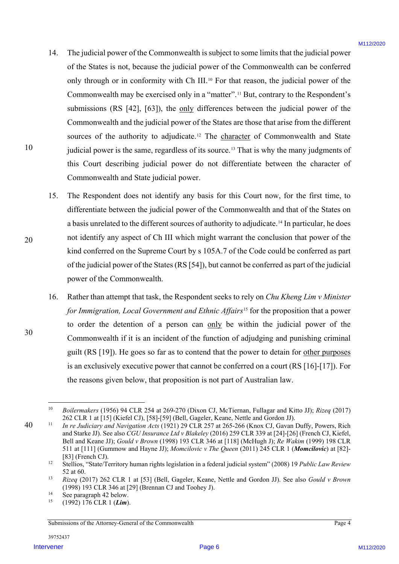- 14. The judicial power of the Commonwealth is subject to some limits that the judicial power of the States is not, because the judicial power of the Commonwealth can be conferred only through or in conformity with Ch III.<sup>10</sup> For that reason, the judicial power of the Commonwealth may be exercised only in a "matter".11 But, contrary to the Respondent's submissions (RS [42], [63]), the only differences between the judicial power of the Commonwealth and the judicial power of the States are those that arise from the different sources of the authority to adjudicate.<sup>12</sup> The character of Commonwealth and State judicial power is the same, regardless of its source.13 That is why the many judgments of this Court describing judicial power do not differentiate between the character of Commonwealth and State judicial power. 14. The platical prose of the Communes althought at some firming that the platical prose<br>of the States in the column control policieal power of the Commonwealth can be considered at<br>only the apple of the States of the Com
	- 15. The Respondent does not identify any basis for this Court now, for the first time, to differentiate between the judicial power of the Commonwealth and that of the States on a basis unrelated to the different sources of authority to adjudicate.14 In particular, he does not identify any aspect of Ch III which might warrant the conclusion that power of the kind conferred on the Supreme Court by s 105A.7 of the Code could be conferred as part of the judicial power of the States(RS [54]), but cannot be conferred as part of the judicial power of the Commonwealth.
	- 16. Rather than attempt that task, the Respondent seeks to rely on *Chu Kheng Lim v Minister for Immigration, Local Government and Ethnic Affairs*<sup>15</sup> for the proposition that a power to order the detention of a person can only be within the judicial power of the Commonwealth if it is an incident of the function of adjudging and punishing criminal guilt (RS [19]). He goes so far as to contend that the power to detain for other purposes is an exclusively executive power that cannot be conferred on a court (RS [16]-[17]). For the reasons given below, that proposition is not part of Australian law.

Submissions of the Attorney-General of the Commonwealth Page 4

30

40

 <sup>10</sup> *Boilermakers* (1956) 94 CLR 254 at 269-270 (Dixon CJ, McTiernan, Fullagar and Kitto JJ); *Rizeq* (2017) 262 CLR 1 at [15] (Kiefel CJ), [58]-[59] (Bell, Gageler, Keane, Nettle and Gordon JJ).

<sup>11</sup> *In re Judiciary and Navigation Acts* (1921) 29 CLR 257 at 265-266 (Knox CJ, Gavan Duffy, Powers, Rich and Starke JJ). See also *CGU Insurance Ltd v Blakeley* (2016) 259 CLR 339 at [24]-[26] (French CJ, Kiefel, Bell and Keane JJ); *Gould v Brown* (1998) 193 CLR 346 at [118] (McHugh J); *Re Wakim* (1999) 198 CLR 511 at [111] (Gummow and Hayne JJ); *Momcilovic v The Queen* (2011) 245 CLR 1 (*Momcilovic*) at [82]- [83] (French CJ).

<sup>12</sup> Stellios, "State/Territory human rights legislation in a federal judicial system" (2008) 19 *Public Law Review* 52 at 60.

<sup>13</sup> *Rizeq* (2017) 262 CLR 1 at [53] (Bell, Gageler, Keane, Nettle and Gordon JJ). See also *Gould v Brown* (1998) 193 CLR 346 at [29] (Brennan CJ and Toohey J).

<sup>&</sup>lt;sup>14</sup> See paragraph 42 below.

<sup>15</sup> (1992) 176 CLR 1 (*Lim*).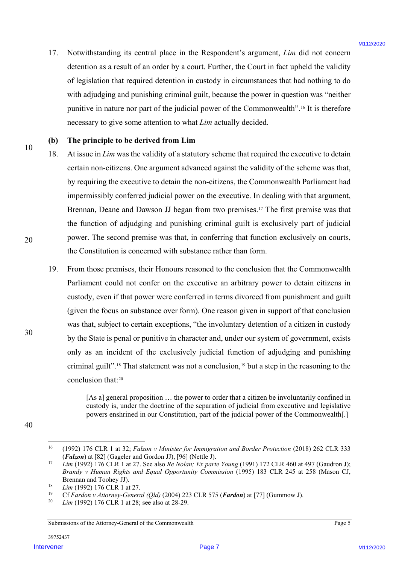17. Notwithstanding its central place in the Respondent's argument, *Lim* did not concern detention as a result of an order by a court. Further, the Court in fact upheld the validity of legislation that required detention in custody in circumstances that had nothing to do with adjudging and punishing criminal guilt, because the power in question was "neither punitive in nature nor part of the judicial power of the Commonwealth".16 It is therefore necessary to give some attention to what *Lim* actually decided.

### **(b) The principle to be derived from Lim**

- 18. At issue in *Lim* was the validity of a statutory scheme that required the executive to detain certain non-citizens. One argument advanced against the validity of the scheme was that, by requiring the executive to detain the non-citizens, the Commonwealth Parliament had impermissibly conferred judicial power on the executive. In dealing with that argument, Brennan, Deane and Dawson JJ began from two premises.<sup>17</sup> The first premise was that the function of adjudging and punishing criminal guilt is exclusively part of judicial power. The second premise was that, in conferring that function exclusively on courts, the Constitution is concerned with substance rather than form.
- 19. From those premises, their Honours reasoned to the conclusion that the Commonwealth Parliament could not confer on the executive an arbitrary power to detain citizens in custody, even if that power were conferred in terms divorced from punishment and guilt (given the focus on substance over form). One reason given in support of that conclusion was that, subject to certain exceptions, "the involuntary detention of a citizen in custody by the State is penal or punitive in character and, under our system of government, exists only as an incident of the exclusively judicial function of adjudging and punishing criminal guilt".18 That statement was not a conclusion,19 but a step in the reasoning to the conclusion that:20 17. Notwithstandary its central place in the Hespstaden's argument, *For* during theorem detection in a gradient of models by a court. Further, the Court in forcupable the original of the court of the place of the place o

[As a] general proposition ... the power to order that a citizen be involuntarily confined in custody is, under the doctrine of the separation of judicial from executive and legislative powers enshrined in our Constitution, part of the judicial power of the Commonwealth[.]

10

20

30

Submissions of the Attorney-General of the Commonwealth Page 5

<sup>40</sup>

 <sup>16</sup> (1992) 176 CLR 1 at 32; *Falzon v Minister for Immigration and Border Protection* (2018) 262 CLR 333 (*Falzon*) at [82] (Gageler and Gordon JJ), [96] (Nettle J).

<sup>17</sup> *Lim* (1992) 176 CLR 1 at 27. See also *Re Nolan; Ex parte Young* (1991) 172 CLR 460 at 497 (Gaudron J); *Brandy v Human Rights and Equal Opportunity Commission* (1995) 183 CLR 245 at 258 (Mason CJ, Brennan and Toohey JJ).

<sup>&</sup>lt;sup>18</sup> *Lim* (1992) 176 CLR 1 at 27.

<sup>19</sup> Cf *Fardon v Attorney-General (Qld)* (2004) 223 CLR 575 (*Fardon*) at [77] (Gummow J).

*Lim* (1992) 176 CLR 1 at 28; see also at 28-29.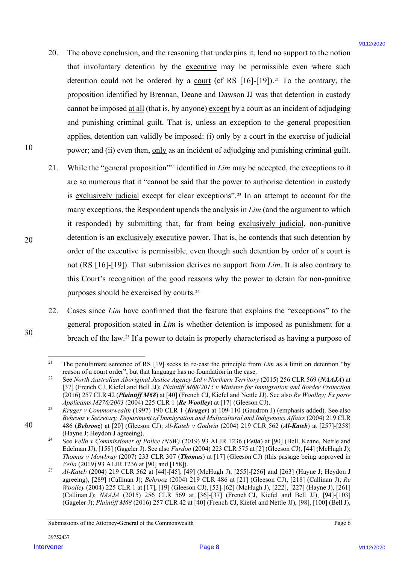- 20. The above conclusion, and the reasoning that underpins it, lend no support to the notion that involuntary detention by the executive may be permissible even where such detention could not be ordered by a court (cf RS  $[16]-[19]$ ).<sup>21</sup> To the contrary, the proposition identified by Brennan, Deane and Dawson JJ was that detention in custody cannot be imposed at all (that is, by anyone) except by a court as an incident of adjudging and punishing criminal guilt. That is, unless an exception to the general proposition applies, detention can validly be imposed: (i) only by a court in the exercise of judicial power; and (ii) even then, only as an incident of adjudging and punishing criminal guilt.
- 21. While the "general proposition"22 identified in *Lim* may be accepted, the exceptions to it are so numerous that it "cannot be said that the power to authorise detention in custody is exclusively judicial except for clear exceptions".23 In an attempt to account for the many exceptions, the Respondent upends the analysis in *Lim* (and the argument to which it responded) by submitting that, far from being exclusively judicial, non-punitive detention is an exclusively executive power. That is, he contends that such detention by order of the executive is permissible, even though such detention by order of a court is not (RS [16]-[19]). That submission derives no support from *Lim*. It is also contrary to this Court's recognition of the good reasons why the power to detain for non-punitive purposes should be exercised by courts.24 20. The above conclusion, and the reasoning that underpines at, lead no support to the notation of the conclusion by the conclusion  $\mu$  to accelerate the colored by a conclusion of the conclusion of the colored by a conc
	- 22. Cases since *Lim* have confirmed that the feature that explains the "exceptions" to the general proposition stated in *Lim* is whether detention is imposed as punishment for a breach of the law.25 If a power to detain is properly characterised as having a purpose of

30

40

<sup>&</sup>lt;sup>21</sup> The penultimate sentence of RS [19] seeks to re-cast the principle from *Lim* as a limit on detention "by reason of a court order", but that language has no foundation in the case.<br><sup>22</sup> See *North Australian Aboriginal Justice Agency Ltd v Northern Territory* (2015) 256 CLR 569 (*NAAJA*) at

<sup>[37] (</sup>French CJ, Kiefel and Bell JJ); *Plaintiff M68/2015 v Minister for Immigration and Border Protection* (2016) 257 CLR 42 (*Plaintiff M68*) at [40] (French CJ, Kiefel and Nettle JJ). See also *Re Woolley; Ex parte Applicants M276/2003* (2004) 225 CLR 1 (*Re Woolley*) at [17] (Gleeson CJ).

<sup>23</sup> *Kruger v Commonwealth* (1997) 190 CLR 1 (*Kruger*) at 109-110 (Gaudron J) (emphasis added). See also *Behrooz v Secretary, Department of Immigration and Multicultural and Indigenous Affairs* (2004) 219 CLR 486 (*Behrooz*) at [20] (Gleeson CJ); *Al-Kateb v Godwin* (2004) 219 CLR 562 (*Al-Kateb*) at [257]-[258] (Hayne J; Heydon J agreeing).

<sup>24</sup> See *Vella v Commissioner of Police (NSW)* (2019) 93 ALJR 1236 (*Vella*) at [90] (Bell, Keane, Nettle and Edelman JJ), [158] (Gageler J). See also *Fardon* (2004) 223 CLR 575 at [2] (Gleeson CJ), [44] (McHugh J); *Thomas v Mowbray* (2007) 233 CLR 307 (*Thomas*) at [17] (Gleeson CJ) (this passage being approved in *Vella* (2019) 93 ALJR 1236 at [90] and [158]).

<sup>25</sup> *Al-Kateb* (2004) 219 CLR 562 at [44]-[45], [49] (McHugh J), [255]-[256] and [263] (Hayne J; Heydon J agreeing), [289] (Callinan J); *Behrooz* (2004) 219 CLR 486 at [21] (Gleeson CJ), [218] (Callinan J); *Re Woolley* (2004) 225 CLR 1 at [17], [19] (Gleeson CJ), [53]-[62] (McHugh J), [222], [227] (Hayne J), [261] (Callinan J); *NAAJA* (2015) 256 CLR 569 at [36]-[37] (French CJ, Kiefel and Bell JJ), [94]-[103] (Gageler J); *Plaintiff M68* (2016) 257 CLR 42 at [40] (French CJ, Kiefel and Nettle JJ), [98], [100] (Bell J),

Submissions of the Attorney-General of the Commonwealth Page 6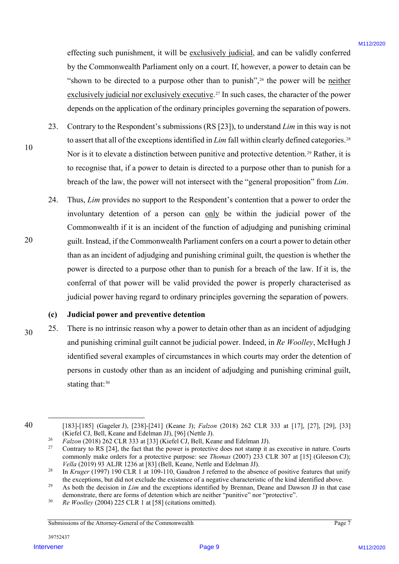effecting such punishment, it will be exclusively judicial, and can be validly conferred by the Commonwealth Parliament only on a court. If, however, a power to detain can be "shown to be directed to a purpose other than to punish",<sup>26</sup> the power will be neither exclusively judicial nor exclusively executive.<sup>27</sup> In such cases, the character of the power depends on the application of the ordinary principles governing the separation of powers.

- 23. Contrary to the Respondent's submissions (RS [23]), to understand *Lim* in this way is not to assert that all of the exceptions identified in *Lim* fall within clearly defined categories.<sup>28</sup> Nor is it to elevate a distinction between punitive and protective detention.<sup>29</sup> Rather, it is to recognise that, if a power to detain is directed to a purpose other than to punish for a breach of the law, the power will not intersect with the "general proposition" from *Lim*.
- 24. Thus, *Lim* provides no support to the Respondent's contention that a power to order the involuntary detention of a person can only be within the judicial power of the Commonwealth if it is an incident of the function of adjudging and punishing criminal guilt. Instead, if the Commonwealth Parliament confers on a court a power to detain other than as an incident of adjudging and punishing criminal guilt, the question is whether the power is directed to a purpose other than to punish for a breach of the law. If it is, the conferral of that power will be valid provided the power is properly characterised as judicial power having regard to ordinary principles governing the separation of powers. effective, such pannshment, it will be <u>nationed value of</u> and can be validy conferred<br>by the Connocave sike Parlament calcy on a court. Lowers, a power will be <u>melto</u><br> $\sim$  shown to be directed for a memorial of the four

### **(c) Judicial power and preventive detention**

30 25. There is no intrinsic reason why a power to detain other than as an incident of adjudging and punishing criminal guilt cannot be judicial power. Indeed, in *Re Woolley*, McHugh J identified several examples of circumstances in which courts may order the detention of persons in custody other than as an incident of adjudging and punishing criminal guilt, stating that: 30

40

10

 <sup>[183]-[185] (</sup>Gageler J), [238]-[241] (Keane J); *Falzon* (2018) 262 CLR 333 at [17], [27], [29], [33] (Kiefel CJ, Bell, Keane and Edelman JJ), [96] (Nettle J).

 $P_{12}$ <sup>26</sup> *Falzon* (2018) 262 CLR 333 at [33] (Kiefel CJ, Bell, Keane and Edelman JJ).

<sup>27</sup> Contrary to RS [24], the fact that the power is protective does not stamp it as executive in nature. Courts commonly make orders for a protective purpose: see *Thomas* (2007) 233 CLR 307 at [15] (Gleeson CJ); *Vella* (2019) 93 ALJR 1236 at [83] (Bell, Keane, Nettle and Edelman JJ).

<sup>&</sup>lt;sup>28</sup> In *Kruger* (1997) 190 CLR 1 at 109-110, Gaudron J referred to the absence of positive features that unify the exceptions, but did not exclude the existence of a negative characteristic of the kind identified above.<br><sup>29</sup> As both the decision in *Lim* and the exceptions identified by Brennan, Deane and Dawson JJ in that case

demonstrate, there are forms of detention which are neither "punitive" nor "protective".<br> *Re Woolley* (2004) 225 CLR 1 at [58] (citations omitted).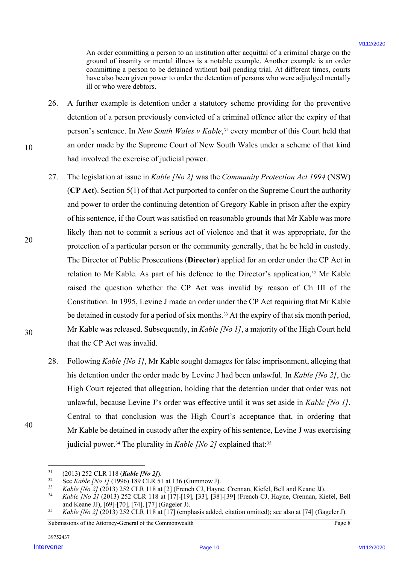An order committing a person to an institution after acquittal of a criminal charge on the ground of insanity or mental illness is a notable example. Another example is an order committing a person to be detained without bail pending trial. At different times, courts have also been given power to order the detention of persons who were adjudged mentally ill or who were debtors.

- 26. A further example is detention under a statutory scheme providing for the preventive detention of a person previously convicted of a criminal offence after the expiry of that person's sentence. In *New South Wales v Kable*, <sup>31</sup> every member of this Court held that an order made by the Supreme Court of New South Wales under a scheme of that kind had involved the exercise of judicial power.
- 27. The legislation at issue in *Kable [No 2]* was the *Community Protection Act 1994* (NSW) (**CP Act**). Section 5(1) of that Act purported to confer on the Supreme Court the authority and power to order the continuing detention of Gregory Kable in prison after the expiry of his sentence, if the Court was satisfied on reasonable grounds that Mr Kable was more likely than not to commit a serious act of violence and that it was appropriate, for the protection of a particular person or the community generally, that he be held in custody. The Director of Public Prosecutions (**Director**) applied for an order under the CP Act in relation to Mr Kable. As part of his defence to the Director's application,<sup>32</sup> Mr Kable raised the question whether the CP Act was invalid by reason of Ch III of the Constitution. In 1995, Levine J made an order under the CP Act requiring that Mr Kable be detained in custody for a period of six months.<sup>33</sup> At the expiry of that six month period, Mr Kable was released. Subsequently, in *Kable [No 1]*, a majority of the High Court held that the CP Act was invalid. A order operation (a page to an institute of the resulted at the consistent of the consistent departed at the consistent of the state of the state of the state of the state of the state of the state of the state of the st
	- 28. Following *Kable [No 1]*, Mr Kable sought damages for false imprisonment, alleging that his detention under the order made by Levine J had been unlawful. In *Kable [No 2]*, the High Court rejected that allegation, holding that the detention under that order was not unlawful, because Levine J's order was effective until it was set aside in *Kable [No 1]*. Central to that conclusion was the High Court's acceptance that, in ordering that Mr Kable be detained in custody after the expiry of his sentence, Levine J was exercising judicial power.<sup>34</sup> The plurality in *Kable [No 2]* explained that:<sup>35</sup>

10

20

30

 <sup>31</sup> (2013) 252 CLR 118 (*Kable [No 2]*).

<sup>&</sup>lt;sup>32</sup> See *Kable [No 1]* (1996) 189 CLR 51 at 136 (Gummow J).<br><sup>33</sup> Kable *[No 2]* (2013) 252 CLR 118 at [2] (French CL Hayn

 $Kable [No 2] (2013) 252 \text{ CLR } 118 \text{ at } [2]$  (French CJ, Hayne, Crennan, Kiefel, Bell and Keane JJ).<br> $Kable [No 2] (2013) 252 \text{ CLR } 118 \text{ at } [171,110]$  [33] [38] [39] (French CJ, Hayne, Crennan, Ki

<sup>34</sup> *Kable [No 2]* (2013) 252 CLR 118 at [17]-[19], [33], [38]-[39] (French CJ, Hayne, Crennan, Kiefel, Bell and Keane JJ), [69]-[70], [74], [77] (Gageler J).

<sup>35</sup> *Kable [No 2]* (2013) 252 CLR 118 at [17] (emphasis added, citation omitted); see also at [74] (Gageler J).

Submissions of the Attorney-General of the Commonwealth Page 8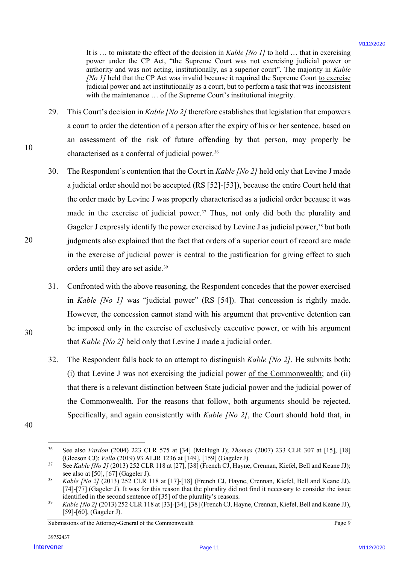It is … to misstate the effect of the decision in *Kable [No 1]* to hold … that in exercising power under the CP Act, "the Supreme Court was not exercising judicial power or authority and was not acting, institutionally, as a superior court". The majority in *Kable [No 1]* held that the CP Act was invalid because it required the Supreme Court to exercise judicial power and act institutionally as a court, but to perform a task that was inconsistent with the maintenance ... of the Supreme Court's institutional integrity.

- 29. This Court's decision in *Kable [No 2]* therefore establishes that legislation that empowers a court to order the detention of a person after the expiry of his or her sentence, based on an assessment of the risk of future offending by that person, may properly be characterised as a conferral of judicial power.<sup>36</sup>
- 30. The Respondent's contention that the Court in *Kable [No 2]* held only that Levine J made a judicial order should not be accepted (RS [52]-[53]), because the entire Court held that the order made by Levine J was properly characterised as a judicial order because it was made in the exercise of judicial power.<sup>37</sup> Thus, not only did both the plurality and Gageler J expressly identify the power exercised by Levine J as judicial power,<sup>38</sup> but both judgments also explained that the fact that orders of a superior court of record are made in the exercise of judicial power is central to the justification for giving effect to such orders until they are set aside.39 In the constraints the effect of the decision is follow, Advisor Accelering intervene in the constraint and we constrain a singure control the constraints of the constraints and the constraints are an approximately an an
	- 31. Confronted with the above reasoning, the Respondent concedes that the power exercised in *Kable [No 1]* was "judicial power" (RS [54]). That concession is rightly made. However, the concession cannot stand with his argument that preventive detention can be imposed only in the exercise of exclusively executive power, or with his argument that *Kable [No 2]* held only that Levine J made a judicial order.
	- 32. The Respondent falls back to an attempt to distinguish *Kable [No 2]*. He submits both: (i) that Levine J was not exercising the judicial power of the Commonwealth; and (ii) that there is a relevant distinction between State judicial power and the judicial power of the Commonwealth. For the reasons that follow, both arguments should be rejected. Specifically, and again consistently with *Kable [No 2]*, the Court should hold that, in
- 40

10

20

30

Submissions of the Attorney-General of the Commonwealth Page 9

 <sup>36</sup> See also *Fardon* (2004) 223 CLR 575 at [34] (McHugh J); *Thomas* (2007) 233 CLR 307 at [15], [18] (Gleeson CJ); *Vella* (2019) 93 ALJR 1236 at [149], [159] (Gageler J).

<sup>37</sup> See *Kable [No 2]* (2013) 252 CLR 118 at [27], [38] (French CJ, Hayne, Crennan, Kiefel, Bell and Keane JJ); see also at [50], [67] (Gageler J).

<sup>38</sup> *Kable [No 2]* (2013) 252 CLR 118 at [17]-[18] (French CJ, Hayne, Crennan, Kiefel, Bell and Keane JJ), [74]-[77] (Gageler J). It was for this reason that the plurality did not find it necessary to consider the issue identified in the second sentence of [35] of the plurality's reasons.

<sup>39</sup> *Kable [No 2]* (2013) 252 CLR 118 at [33]-[34], [38] (French CJ, Hayne, Crennan, Kiefel, Bell and Keane JJ), [59]-[60], (Gageler J).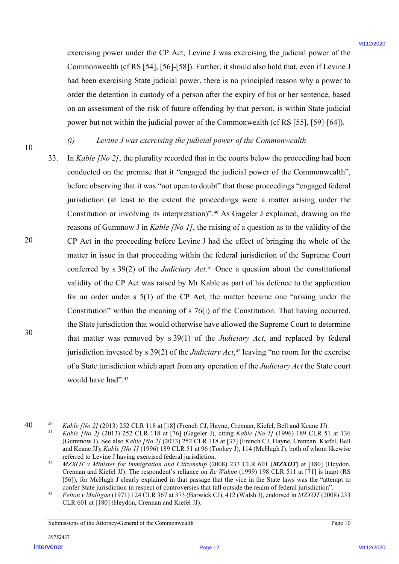exercising power under the CP Act, Levine J was exercising the judicial power of the Commonwealth (cf RS [54], [56]-[58]). Further, it should also hold that, even if Levine J had been exercising State judicial power, there is no principled reason why a power to order the detention in custody of a person after the expiry of his or her sentence, based on an assessment of the risk of future offending by that person, is within State judicial power but not within the judicial power of the Commonwealth (cf RS [55], [59]-[64]).

10

## *(i) Levine J was exercising the judicial power of the Commonwealth*

20 30 33. In *Kable [No 2]*, the plurality recorded that in the courts below the proceeding had been conducted on the premise that it "engaged the judicial power of the Commonwealth", before observing that it was "not open to doubt" that those proceedings "engaged federal jurisdiction (at least to the extent the proceedings were a matter arising under the Constitution or involving its interpretation)". <sup>40</sup> As Gageler J explained, drawing on the reasons of Gummow J in *Kable [No 1]*, the raising of a question as to the validity of the CP Act in the proceeding before Levine J had the effect of bringing the whole of the matter in issue in that proceeding within the federal jurisdiction of the Supreme Court conferred by s 39(2) of the *Judiciary Act*. <sup>41</sup> Once a question about the constitutional validity of the CP Act was raised by Mr Kable as part of his defence to the application for an order under s 5(1) of the CP Act, the matter became one "arising under the Constitution" within the meaning of s 76(i) of the Constitution. That having occurred, the State jurisdiction that would otherwise have allowed the Supreme Court to determine that matter was removed by s 39(1) of the *Judiciary Act*, and replaced by federal jurisdiction invested by s 39(2) of the *Judiciary Act*,<sup>42</sup> leaving "no room for the exercise of a State jurisdiction which apart from any operation of the *Judiciary Act* the State court would have had".43 eserving proses under the CP Act, Levine J was esterdomy the judicial proves of the Commanded hit CR S54]. (See 1820, Page 1202, and the book over if Levins C and the Commanded the C S S54]. (See 1820, 1920, 1920, 1920, 1

<sup>40</sup>

<sup>40</sup> *Kable [No 2]* (2013) 252 CLR 118 at [18] (French CJ, Hayne, Crennan, Kiefel, Bell and Keane JJ).<br>41 *Kable [No 2]* (2012) 252 CLB 118 at [76] (Cosolar D, eiting Kable (No 11 (1006) 180 CLB 51 <sup>41</sup> *Kable [No 2]* (2013) 252 CLR 118 at [76] (Gageler J), citing *Kable [No 1]* (1996) 189 CLR 51 at 136 (Gummow J). See also *Kable [No 2]* (2013) 252 CLR 118 at [37] (French CJ, Hayne, Crennan, Kiefel, Bell and Keane JJ); *Kable [No 1]* (1996) 189 CLR 51 at 96 (Toohey J), 114 (McHugh J), both of whom likewise referred to Levine J having exercised federal jurisdiction.

<sup>42</sup> *MZXOT v Minister for Immigration and Citizenship* (2008) 233 CLR 601 (*MZXOT*) at [180] (Heydon, Crennan and Kiefel JJ). The respondent's reliance on *Re Wakim* (1999) 198 CLR 511 at [71] is inapt (RS [56]), for McHugh J clearly explained in that passage that the vice in the State laws was the "attempt to confer State jurisdiction in respect of controversies that fall outside the realm of federal jurisdiction".

<sup>&</sup>lt;sup>43</sup> Felton v Mulligan (1971) 124 CLR 367 at 373 (Barwick CJ), 412 (Walsh J), endorsed in MZXOT (2008) 233 CLR 601 at [180] (Heydon, Crennan and Kiefel JJ).

Submissions of the Attorney-General of the Commonwealth Page 10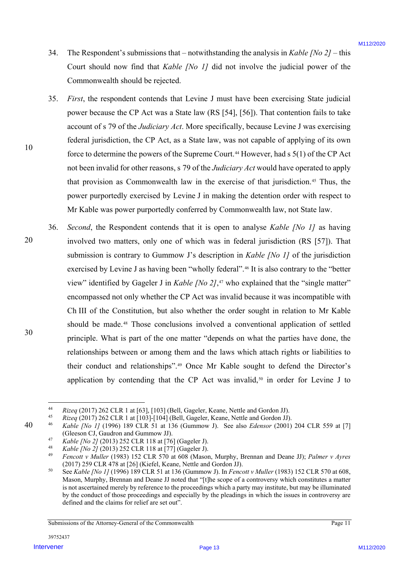- 34. The Respondent's submissions that notwithstanding the analysis in *Kable [No 2]* this Court should now find that *Kable [No 1]* did not involve the judicial power of the Commonwealth should be rejected.
- 35. *First*, the respondent contends that Levine J must have been exercising State judicial power because the CP Act was a State law (RS [54], [56]). That contention fails to take account of s 79 of the *Judiciary Act*. More specifically, because Levine J was exercising federal jurisdiction, the CP Act, as a State law, was not capable of applying of its own force to determine the powers of the Supreme Court.<sup>44</sup> However, had  $s$  5(1) of the CP Act not been invalid for other reasons, s 79 of the *Judiciary Act* would have operated to apply that provision as Commonwealth law in the exercise of that jurisdiction.45 Thus, the power purportedly exercised by Levine J in making the detention order with respect to Mr Kable was power purportedly conferred by Commonwealth law, not State law.
- 36. *Second*, the Respondent contends that it is open to analyse *Kable [No 1]* as having involved two matters, only one of which was in federal jurisdiction (RS [57]). That submission is contrary to Gummow J's description in *Kable [No 1]* of the jurisdiction exercised by Levine J as having been "wholly federal".46 It is also contrary to the "better view" identified by Gageler J in *Kable [No 2]*, <sup>47</sup> who explained that the "single matter" encompassed not only whether the CP Act was invalid because it was incompatible with Ch III of the Constitution, but also whether the order sought in relation to Mr Kable should be made.<sup>48</sup> Those conclusions involved a conventional application of settled principle. What is part of the one matter "depends on what the parties have done, the relationships between or among them and the laws which attach rights or liabilities to their conduct and relationships".49 Once Mr Kable sought to defend the Director's application by contending that the CP Act was invalid, $50$  in order for Levine J to 34. The Respondent systems<br>sions that — respectivated plure malysis in Kobby (50.2) this<br>Correlation dow that that Kobby (80.2) that are three to the state in the Correlation of the Correlation of the Solid Bergical<br>Solid

30

40

20

 <sup>44</sup> *Rizeq* (2017) 262 CLR 1 at [63], [103] (Bell, Gageler, Keane, Nettle and Gordon JJ).

<sup>45</sup> *Rizeq* (2017) 262 CLR 1 at [103]-[104] (Bell, Gageler, Keane, Nettle and Gordon JJ).

<sup>46</sup> *Kable [No 1]* (1996) 189 CLR 51 at 136 (Gummow J). See also *Edensor* (2001) 204 CLR 559 at [7] (Gleeson CJ, Gaudron and Gummow JJ).

<sup>47</sup> *Kable [No 2]* (2013) 252 CLR 118 at [76] (Gageler J).

<sup>48</sup> *Kable [No 2]* (2013) 252 CLR 118 at [77] (Gageler J).

<sup>49</sup> *Fencott v Muller* (1983) 152 CLR 570 at 608 (Mason, Murphy, Brennan and Deane JJ); *Palmer v Ayres* (2017) 259 CLR 478 at [26] (Kiefel, Keane, Nettle and Gordon JJ).

<sup>50</sup> See *Kable [No 1]* (1996) 189 CLR 51 at 136 (Gummow J). In *Fencott v Muller* (1983) 152 CLR 570 at 608, Mason, Murphy, Brennan and Deane JJ noted that "[t]he scope of a controversy which constitutes a matter is not ascertained merely by reference to the proceedings which a party may institute, but may be illuminated by the conduct of those proceedings and especially by the pleadings in which the issues in controversy are defined and the claims for relief are set out".

Submissions of the Attorney-General of the Commonwealth Page 11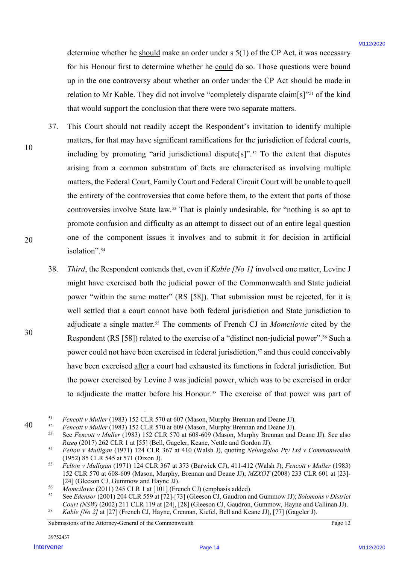determine whether he should make an order under s 5(1) of the CP Act, it was necessary for his Honour first to determine whether he could do so. Those questions were bound up in the one controversy about whether an order under the CP Act should be made in relation to Mr Kable. They did not involve "completely disparate claim[s]"51 of the kind that would support the conclusion that there were two separate matters.

- 37. This Court should not readily accept the Respondent's invitation to identify multiple matters, for that may have significant ramifications for the jurisdiction of federal courts, including by promoting "arid jurisdictional dispute[s]".<sup>52</sup> To the extent that disputes arising from a common substratum of facts are characterised as involving multiple matters, the Federal Court, Family Court and Federal Circuit Court will be unable to quell the entirety of the controversies that come before them, to the extent that parts of those controversies involve State law.53 That is plainly undesirable, for "nothing is so apt to promote confusion and difficulty as an attempt to dissect out of an entire legal question one of the component issues it involves and to submit it for decision in artificial isolation".<sup>54</sup>
- 38. *Third*, the Respondent contends that, even if *Kable [No 1]* involved one matter, Levine J might have exercised both the judicial power of the Commonwealth and State judicial power "within the same matter" (RS [58]). That submission must be rejected, for it is well settled that a court cannot have both federal jurisdiction and State jurisdiction to adjudicate a single matter.55 The comments of French CJ in *Momcilovic* cited by the Respondent (RS [58]) related to the exercise of a "distinct non-judicial power".<sup>56</sup> Such a power could not have been exercised in federal jurisdiction,<sup>57</sup> and thus could conceivably have been exercised after a court had exhausted its functions in federal jurisdiction. But the power exercised by Levine J was judicial power, which was to be exercised in order to adjudicate the matter before his Honour.<sup>58</sup> The exercise of that power was part of determine whether he <u>shand</u> in determine when a order used is 5(1) of the CP Act, at was necessary<br>
for his Honor for the coloration whenche to could on the CP Act should be made in<br>
a right once the formula of the CP Ac

30

10

<sup>40</sup>

<sup>&</sup>lt;sup>51</sup> Fencott v Muller (1983) 152 CLR 570 at 607 (Mason, Murphy Brennan and Deane JJ).<br><sup>52</sup> Fencott v Muller (1983) 152 CLR 570 at 609 (Mason, Murphy Brennan and Deane JJ).<br><sup>53</sup> See Fencott v Muller (1983) 152 CLR 570 at 6 *Rizeq* (2017) 262 CLR 1 at [55] (Bell, Gageler, Keane, Nettle and Gordon JJ).

<sup>54</sup> *Felton v Mulligan* (1971) 124 CLR 367 at 410 (Walsh J), quoting *Nelungaloo Pty Ltd v Commonwealth*  (1952) 85 CLR 545 at 571 (Dixon J).

<sup>55</sup> *Felton v Mulligan* (1971) 124 CLR 367 at 373 (Barwick CJ), 411-412 (Walsh J); *Fencott v Muller* (1983) 152 CLR 570 at 608-609 (Mason, Murphy, Brennan and Deane JJ); *MZXOT* (2008) 233 CLR 601 at [23]- [24] (Gleeson CJ, Gummow and Hayne JJ).

<sup>&</sup>lt;sup>56</sup> *Momcilovic* (2011) 245 CLR 1 at [101] (French CJ) (emphasis added).<br><sup>57</sup> See Edgman (2001) 204 CLB 550 et [72] [73] (Gleesen CJ Gaudren at

<sup>57</sup> See *Edensor* (2001) 204 CLR 559 at [72]-[73] (Gleeson CJ, Gaudron and Gummow JJ); *Solomons v District Court (NSW)* (2002) 211 CLR 119 at [24], [28] (Gleeson CJ, Gaudron, Gummow, Hayne and Callinan JJ). <sup>58</sup> *Kable [No 2]* at [27] (French CJ, Hayne, Crennan, Kiefel, Bell and Keane JJ), [77] (Gageler J).

Submissions of the Attorney-General of the Commonwealth Page 12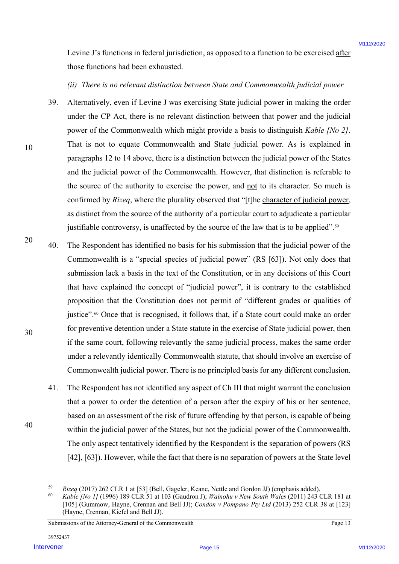Levine J's functions in federal jurisdiction, as opposed to a function to be exercised after those functions had been exhausted.

### *(ii) There is no relevant distinction between State and Commonwealth judicial power*

- 39. Alternatively, even if Levine J was exercising State judicial power in making the order under the CP Act, there is no relevant distinction between that power and the judicial power of the Commonwealth which might provide a basis to distinguish *Kable [No 2]*. That is not to equate Commonwealth and State judicial power. As is explained in paragraphs 12 to 14 above, there is a distinction between the judicial power of the States and the judicial power of the Commonwealth. However, that distinction is referable to the source of the authority to exercise the power, and not to its character. So much is confirmed by *Rizeq*, where the plurality observed that "[t]he character of judicial power, as distinct from the source of the authority of a particular court to adjudicate a particular justifiable controversy, is unaffected by the source of the law that is to be applied".<sup>59</sup>
- 20 30 40. The Respondent has identified no basis for his submission that the judicial power of the Commonwealth is a "special species of judicial power" (RS [63]). Not only does that submission lack a basis in the text of the Constitution, or in any decisions of this Court that have explained the concept of "judicial power", it is contrary to the established proposition that the Constitution does not permit of "different grades or qualities of justice". <sup>60</sup> Once that is recognised, it follows that, if a State court could make an order for preventive detention under a State statute in the exercise of State judicial power, then if the same court, following relevantly the same judicial process, makes the same order under a relevantly identically Commonwealth statute, that should involve an exercise of Commonwealth judicial power. There is no principled basis for any different conclusion. I some J's furctions in federal production, as opposed on a function to be every set of the secondary of the secondary of the secondary of the secondary of the secondary of the secondary of the secondary of the secondary
	- 41. The Respondent has not identified any aspect of Ch III that might warrant the conclusion that a power to order the detention of a person after the expiry of his or her sentence, based on an assessment of the risk of future offending by that person, is capable of being within the judicial power of the States, but not the judicial power of the Commonwealth. The only aspect tentatively identified by the Respondent is the separation of powers (RS [42], [63]). However, while the fact that there is no separation of powers at the State level

Submissions of the Attorney-General of the Commonwealth Page 13

40

 <sup>59</sup> *Rizeq* (2017) 262 CLR 1 at [53] (Bell, Gageler, Keane, Nettle and Gordon JJ) (emphasis added).

<sup>60</sup> *Kable [No 1]* (1996) 189 CLR 51 at 103 (Gaudron J); *Wainohu v New South Wales* (2011) 243 CLR 181 at [105] (Gummow, Hayne, Crennan and Bell JJ); *Condon v Pompano Pty Ltd* (2013) 252 CLR 38 at [123] (Hayne, Crennan, Kiefel and Bell JJ).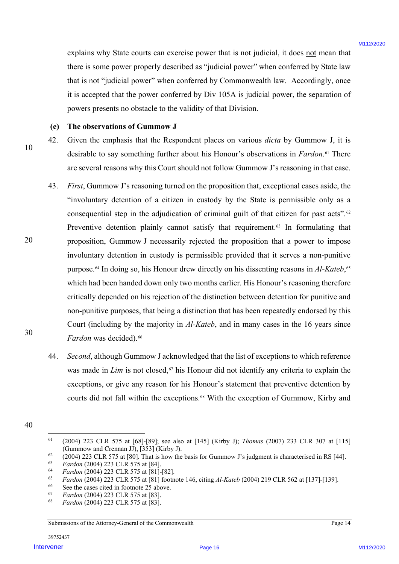explains why State courts can exercise power that is not judicial, it does not mean that there is some power properly described as "judicial power" when conferred by State law that is not "judicial power" when conferred by Commonwealth law. Accordingly, once it is accepted that the power conferred by Div 105A is judicial power, the separation of powers presents no obstacle to the validity of that Division.

### **(e) The observations of Gummow J**

10

20

42. Given the emphasis that the Respondent places on various *dicta* by Gummow J, it is desirable to say something further about his Honour's observations in *Fardon*.61 There are several reasons why this Court should not follow Gummow J's reasoning in that case.

- 43. *First*, Gummow J's reasoning turned on the proposition that, exceptional cases aside, the "involuntary detention of a citizen in custody by the State is permissible only as a consequential step in the adjudication of criminal guilt of that citizen for past acts".62 Preventive detention plainly cannot satisfy that requirement.<sup>63</sup> In formulating that proposition, Gummow J necessarily rejected the proposition that a power to impose involuntary detention in custody is permissible provided that it serves a non-punitive purpose.64 In doing so, his Honour drew directly on his dissenting reasons in *Al-Kateb*,65 which had been handed down only two months earlier. His Honour's reasoning therefore critically depended on his rejection of the distinction between detention for punitive and non-punitive purposes, that being a distinction that has been repeatedly endorsed by this Court (including by the majority in *Al-Kateb*, and in many cases in the 16 years since *Fardon* was decided).<sup>66</sup> explains with State contrie can everywise prover that is not judicial, it does <u>not</u> mean that<br>there is now power properly described as "suchical power" when conferred by the case of the state of the state of the state of
	- 44. *Second*, although Gummow J acknowledged that the list of exceptions to which reference was made in *Lim* is not closed,<sup>67</sup> his Honour did not identify any criteria to explain the exceptions, or give any reason for his Honour's statement that preventive detention by courts did not fall within the exceptions.68 With the exception of Gummow, Kirby and

30

Submissions of the Attorney-General of the Commonwealth Page 14

<sup>40</sup>

 <sup>61</sup> (2004) 223 CLR 575 at [68]-[89]; see also at [145] (Kirby J); *Thomas* (2007) 233 CLR 307 at [115] (Gummow and Crennan JJ), [353] (Kirby J).

 $\frac{62}{2004}$  (2004) 223 CLR 575 at [80]. That is how the basis for Gummow J's judgment is characterised in RS [44].

<sup>63</sup> *Fardon* (2004) 223 CLR 575 at [84]. 64 *Fardon* (2004) 223 CLR 575 at [81]-[82].

<sup>65</sup> *Fardon* (2004) 223 CLR 575 at [81] footnote 146, citing *Al-Kateb* (2004) 219 CLR 562 at [137]-[139].

 $^{66}$  See the cases cited in footnote 25 above.

<sup>67</sup> *Fardon* (2004) 223 CLR 575 at [83].

<sup>68</sup> *Fardon* (2004) 223 CLR 575 at [83].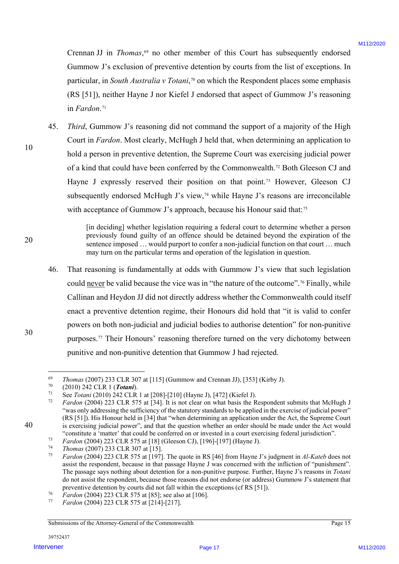Crennan JJ in *Thomas*,<sup>69</sup> no other member of this Court has subsequently endorsed Gummow J's exclusion of preventive detention by courts from the list of exceptions. In particular, in *South Australia v Totani*,70 on which the Respondent places some emphasis (RS [51]), neither Hayne J nor Kiefel J endorsed that aspect of Gummow J's reasoning in *Fardon*.<sup>71</sup>

45. *Third*, Gummow J's reasoning did not command the support of a majority of the High Court in *Fardon*. Most clearly, McHugh J held that, when determining an application to hold a person in preventive detention, the Supreme Court was exercising judicial power of a kind that could have been conferred by the Commonwealth.72 Both Gleeson CJ and Hayne J expressly reserved their position on that point.<sup>73</sup> However, Gleeson CJ subsequently endorsed McHugh J's view,<sup>74</sup> while Hayne J's reasons are irreconcilable with acceptance of Gummow J's approach, because his Honour said that:<sup>75</sup> Crement JF in 216 procas,<sup>36</sup> m other remeter of this Court ins subsequently endomed<br>
Commonweal 2 socialized of procedure detection by courts beat det in to concept<br>at a minimal page 17 minimal and proceedure of the conc

[in deciding] whether legislation requiring a federal court to determine whether a person previously found guilty of an offence should be detained beyond the expiration of the sentence imposed … would purport to confer a non-judicial function on that court … much may turn on the particular terms and operation of the legislation in question.

46. That reasoning is fundamentally at odds with Gummow J's view that such legislation could never be valid because the vice was in "the nature of the outcome".76 Finally, while Callinan and Heydon JJ did not directly address whether the Commonwealth could itself enact a preventive detention regime, their Honours did hold that "it is valid to confer powers on both non-judicial and judicial bodies to authorise detention" for non-punitive purposes.77 Their Honours' reasoning therefore turned on the very dichotomy between punitive and non-punitive detention that Gummow J had rejected.

40

30

10

 <sup>69</sup> *Thomas* (2007) 233 CLR 307 at [115] (Gummow and Crennan JJ), [353] (Kirby J).

<sup>70</sup> (2010) 242 CLR 1 (*Totani*).

<sup>71</sup> See *Totani* (2010) 242 CLR 1 at [208]-[210] (Hayne J), [472] (Kiefel J).

Fardon (2004) 223 CLR 575 at [34]. It is not clear on what basis the Respondent submits that McHugh J "was only addressing the sufficiency of the statutory standards to be applied in the exercise of judicial power" (RS [51]). His Honour held in [34] that "when determining an application under the Act, the Supreme Court is exercising judicial power", and that the question whether an order should be made under the Act would "constitute a 'matter' that could be conferred on or invested in a court exercising federal jurisdiction".<br>Fardon (2004) 223 CLR 575 at [18] (Gleeson CJ), [196]-[197] (Hayne J).<br>The grape of 2007) 222 CLR 207 at [15]

<sup>74</sup> *Thomas* (2007) 233 CLR 307 at [15].

<sup>75</sup> *Fardon* (2004) 223 CLR 575 at [197]. The quote in RS [46] from Hayne J's judgment in *Al-Kateb* does not assist the respondent, because in that passage Hayne J was concerned with the infliction of "punishment". The passage says nothing about detention for a non-punitive purpose. Further, Hayne J's reasons in *Totani* do not assist the respondent, because those reasons did not endorse (or address) Gummow J's statement that preventive detention by courts did not fall within the exceptions (cf RS [51]).

<sup>&</sup>lt;sup>76</sup> *Fardon* (2004) 223 CLR 575 at [85]; see also at [106].<br><sup>77</sup> *Fardon* (2004) 223 CLB 575 at [214] [217]

<sup>77</sup> *Fardon* (2004) 223 CLR 575 at [214]-[217].

Submissions of the Attorney-General of the Commonwealth Page 15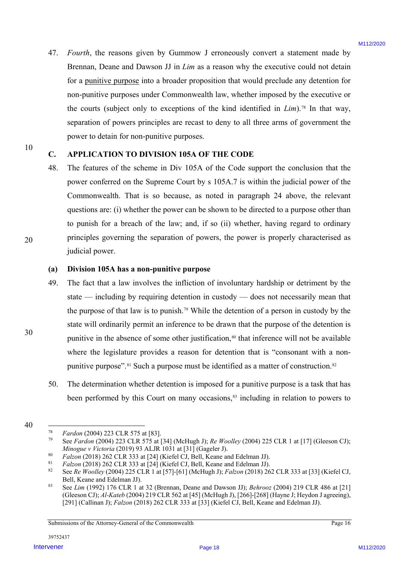47. *Fourth*, the reasons given by Gummow J erroneously convert a statement made by Brennan, Deane and Dawson JJ in *Lim* as a reason why the executive could not detain for a punitive purpose into a broader proposition that would preclude any detention for non-punitive purposes under Commonwealth law, whether imposed by the executive or the courts (subject only to exceptions of the kind identified in *Lim*).78 In that way, separation of powers principles are recast to deny to all three arms of government the power to detain for non-punitive purposes.

## **C. APPLICATION TO DIVISION 105A OF THE CODE**

48. The features of the scheme in Div 105A of the Code support the conclusion that the power conferred on the Supreme Court by s 105A.7 is within the judicial power of the Commonwealth. That is so because, as noted in paragraph 24 above, the relevant questions are: (i) whether the power can be shown to be directed to a purpose other than to punish for a breach of the law; and, if so (ii) whether, having regard to ordinary principles governing the separation of powers, the power is properly characterised as judicial power.

### **(a) Division 105A has a non-punitive purpose**

- 49. The fact that a law involves the infliction of involuntary hardship or detriment by the state — including by requiring detention in custody — does not necessarily mean that the purpose of that law is to punish.79 While the detention of a person in custody by the state will ordinarily permit an inference to be drawn that the purpose of the detention is punitive in the absence of some other justification,<sup>80</sup> that inference will not be available where the legislature provides a reason for detention that is "consonant with a nonpunitive purpose".<sup>81</sup> Such a purpose must be identified as a matter of construction.<sup>82</sup> 47. Fourier), the tensons given by Gurumov J entertowely convert a statement multiple Economic or the David Baroline of the control or the control or the control or the control of the control of the control of the control
	- 50. The determination whether detention is imposed for a punitive purpose is a task that has been performed by this Court on many occasions,<sup>83</sup> including in relation to powers to

20

30

<sup>40</sup>

<sup>&</sup>lt;sup>78</sup> *Fardon* (2004) 223 CLR 575 at [83].<br><sup>79</sup> See *Fardon* (2004) 223 CLR 575 at 1

<sup>79</sup> See *Fardon* (2004) 223 CLR 575 at [34] (McHugh J); *Re Woolley* (2004) 225 CLR 1 at [17] (Gleeson CJ); *Minogue v Victoria* (2019) 93 ALJR 1031 at [31] (Gageler J).

<sup>80</sup> *Falzon* (2018) 262 CLR 333 at [24] (Kiefel CJ, Bell, Keane and Edelman JJ).

<sup>81</sup> *Falzon* (2018) 262 CLR 333 at [24] (Kiefel CJ, Bell, Keane and Edelman JJ).

<sup>82</sup> See *Re Woolley* (2004) 225 CLR 1 at [57]-[61] (McHugh J); *Falzon* (2018) 262 CLR 333 at [33] (Kiefel CJ, Bell, Keane and Edelman JJ).

<sup>83</sup> See *Lim* (1992) 176 CLR 1 at 32 (Brennan, Deane and Dawson JJ); *Behrooz* (2004) 219 CLR 486 at [21] (Gleeson CJ); *Al-Kateb* (2004) 219 CLR 562 at [45] (McHugh J), [266]-[268] (Hayne J; Heydon J agreeing), [291] (Callinan J); *Falzon* (2018) 262 CLR 333 at [33] (Kiefel CJ, Bell, Keane and Edelman JJ).

Submissions of the Attorney-General of the Commonwealth Page 16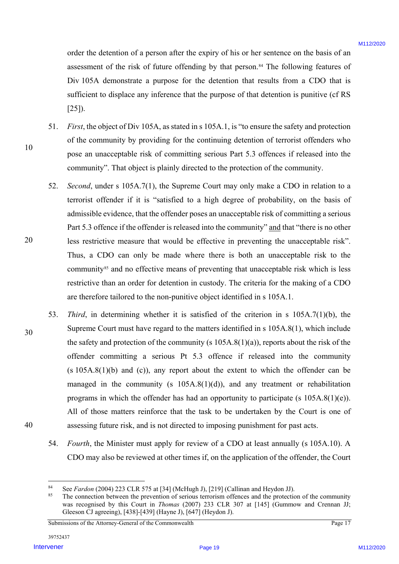order the detention of a person after the expiry of his or her sentence on the basis of an assessment of the risk of future offending by that person.84 The following features of Div 105A demonstrate a purpose for the detention that results from a CDO that is sufficient to displace any inference that the purpose of that detention is punitive (cf RS [25]).

- 51. *First*, the object of Div 105A, as stated in s 105A.1, is "to ensure the safety and protection of the community by providing for the continuing detention of terrorist offenders who pose an unacceptable risk of committing serious Part 5.3 offences if released into the community". That object is plainly directed to the protection of the community.
- 52. *Second*, under s 105A.7(1), the Supreme Court may only make a CDO in relation to a terrorist offender if it is "satisfied to a high degree of probability, on the basis of admissible evidence, that the offender poses an unacceptable risk of committing a serious Part 5.3 offence if the offender is released into the community" and that "there is no other less restrictive measure that would be effective in preventing the unacceptable risk". Thus, a CDO can only be made where there is both an unacceptable risk to the community<sup>85</sup> and no effective means of preventing that unacceptable risk which is less restrictive than an order for detention in custody. The criteria for the making of a CDO are therefore tailored to the non-punitive object identified in s 105A.1.
- 30 40 53. *Third*, in determining whether it is satisfied of the criterion in s 105A.7(1)(b), the Supreme Court must have regard to the matters identified in s 105A.8(1), which include the safety and protection of the community (s  $105A.8(1)(a)$ ), reports about the risk of the offender committing a serious Pt 5.3 offence if released into the community  $(s 105A.8(1)(b)$  and  $(c)$ ), any report about the extent to which the offender can be managed in the community (s 105A.8(1)(d)), and any treatment or rehabilitation programs in which the offender has had an opportunity to participate (s  $105A.8(1)(e)$ ). All of those matters reinforce that the task to be undertaken by the Court is one of assessing future risk, and is not directed to imposing punishment for past acts. order the identitive of a person after the expiry of his or he scrittents to the loss of an<br>association of the risk of function fluid person. This calculation is the collection of the collection<br>of the risk of function of
	- 54. *Fourth*, the Minister must apply for review of a CDO at least annually (s 105A.10). A CDO may also be reviewed at other times if, on the application of the offender, the Court

10

<sup>84</sup> See *Fardon* (2004) 223 CLR 575 at [34] (McHugh J), [219] (Callinan and Heydon JJ).

The connection between the prevention of serious terrorism offences and the protection of the community was recognised by this Court in *Thomas* (2007) 233 CLR 307 at [145] (Gummow and Crennan JJ; Gleeson CJ agreeing), [438]-[439] (Hayne J), [647] (Heydon J).

Submissions of the Attorney-General of the Commonwealth Page 17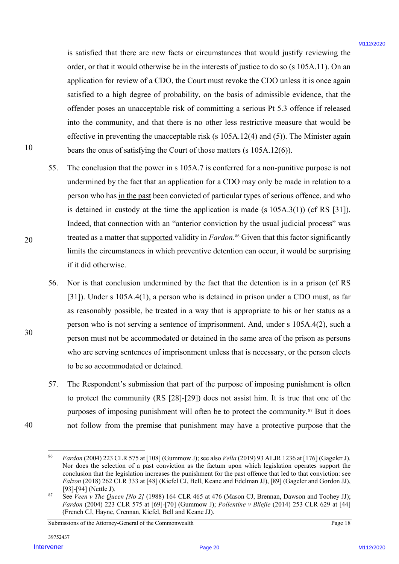is satisfied that there are new facts or circumstances that would justify reviewing the order, or that it would otherwise be in the interests of justice to do so (s 105A.11). On an application for review of a CDO, the Court must revoke the CDO unless it is once again satisfied to a high degree of probability, on the basis of admissible evidence, that the offender poses an unacceptable risk of committing a serious Pt 5.3 offence if released into the community, and that there is no other less restrictive measure that would be effective in preventing the unacceptable risk (s 105A.12(4) and (5)). The Minister again bears the onus of satisfying the Court of those matters (s 105A.12(6)).

- 55. The conclusion that the power in s 105A.7 is conferred for a non-punitive purpose is not undermined by the fact that an application for a CDO may only be made in relation to a person who has in the past been convicted of particular types of serious offence, and who is detained in custody at the time the application is made (s 105A.3(1)) (cf RS [31]). Indeed, that connection with an "anterior conviction by the usual judicial process" was treated as a matter that supported validity in *Fardon*.<sup>86</sup> Given that this factor significantly limits the circumstances in which preventive detention can occur, it would be surprising if it did otherwise. is sub-fired firal three ane rease facts or circumstances fital sound partify reviewing the<br>endot of their Would of the wind and the linetarcties of during the state of the CDA and it for the state and<br>sample and it was a
	- 56. Nor is that conclusion undermined by the fact that the detention is in a prison (cf RS [31]). Under s 105A.4(1), a person who is detained in prison under a CDO must, as far as reasonably possible, be treated in a way that is appropriate to his or her status as a person who is not serving a sentence of imprisonment. And, under s 105A.4(2), such a person must not be accommodated or detained in the same area of the prison as persons who are serving sentences of imprisonment unless that is necessary, or the person elects to be so accommodated or detained.
	- 57. The Respondent's submission that part of the purpose of imposing punishment is often to protect the community (RS [28]-[29]) does not assist him. It is true that one of the purposes of imposing punishment will often be to protect the community.87 But it does not follow from the premise that punishment may have a protective purpose that the

30

40

20

 <sup>86</sup> *Fardon* (2004) 223 CLR 575 at [108] (Gummow J); see also *Vella* (2019) 93 ALJR 1236 at [176] (Gageler J). Nor does the selection of a past conviction as the factum upon which legislation operates support the conclusion that the legislation increases the punishment for the past offence that led to that conviction: see *Falzon* (2018) 262 CLR 333 at [48] (Kiefel CJ, Bell, Keane and Edelman JJ), [89] (Gageler and Gordon JJ), [93]-[94] (Nettle J).

<sup>87</sup> See *Veen v The Queen [No 2]* (1988) 164 CLR 465 at 476 (Mason CJ, Brennan, Dawson and Toohey JJ); *Fardon* (2004) 223 CLR 575 at [69]-[70] (Gummow J); *Pollentine v Bliejie* (2014) 253 CLR 629 at [44] (French CJ, Hayne, Crennan, Kiefel, Bell and Keane JJ).

Submissions of the Attorney-General of the Commonwealth Page 18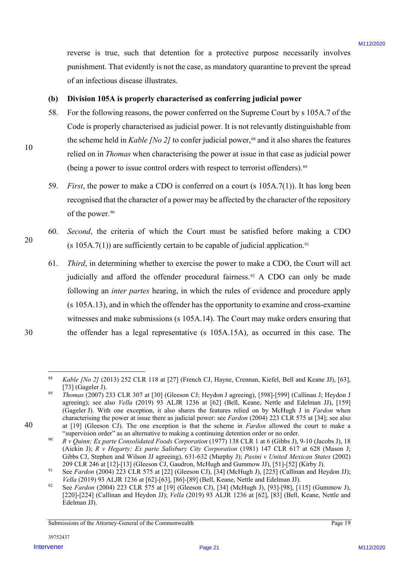reverse is true, such that detention for a protective purpose necessarily involves punishment. That evidently is not the case, as mandatory quarantine to prevent the spread of an infectious disease illustrates.

### **(b) Division 105A is properly characterised as conferring judicial power**

- 58. For the following reasons, the power conferred on the Supreme Court by s 105A.7 of the Code is properly characterised as judicial power. It is not relevantly distinguishable from the scheme held in *Kable [No 2]* to confer judicial power,<sup>88</sup> and it also shares the features relied on in *Thomas* when characterising the power at issue in that case as judicial power (being a power to issue control orders with respect to terrorist offenders).89
- 59. *First*, the power to make a CDO is conferred on a court (s 105A.7(1)). It has long been recognised that the character of a power may be affected by the character of the repository of the power.<sup>90</sup>
- 60. *Second*, the criteria of which the Court must be satisfied before making a CDO (s 105A.7(1)) are sufficiently certain to be capable of judicial application.<sup>91</sup>
- 61. *Third*, in determining whether to exercise the power to make a CDO, the Court will act judicially and afford the offender procedural fairness.<sup>92</sup> A CDO can only be made following an *inter partes* hearing, in which the rules of evidence and procedure apply (s 105A.13), and in which the offender has the opportunity to examine and cross-examine witnesses and make submissions (s 105A.14). The Court may make orders ensuring that the offender has a legal representative (s 105A.15A), as occurred in this case. The **IFERD SET THE SET THE UNITED SET THE SET THE SET THE SET THE SET THE SET THE SET THE SET THE SET THE SET THE SET THE SET THE SET THE SET THE SET THE SET THE SET THE SET THE SET THE SET THE SET THE SET THE SET THE SET THE**
- 30

40

20

 <sup>88</sup> *Kable [No 2]* (2013) 252 CLR 118 at [27] (French CJ, Hayne, Crennan, Kiefel, Bell and Keane JJ), [63],  $[73]$  (Gageler J).

<sup>89</sup> *Thomas* (2007) 233 CLR 307 at [30] (Gleeson CJ; Heydon J agreeing), [598]-[599] (Callinan J; Heydon J agreeing); see also *Vella* (2019) 93 ALJR 1236 at [62] (Bell, Keane, Nettle and Edelman JJ), [159] (Gageler J). With one exception, it also shares the features relied on by McHugh J in *Fardon* when characterising the power at issue there as judicial power: see *Fardon* (2004) 223 CLR 575 at [34]; see also at [19] (Gleeson CJ). The one exception is that the scheme in *Fardon* allowed the court to make a "supervision order" as an alternative to making a continuing detention order or no order.

<sup>&</sup>lt;sup>90</sup> *R v Quinn; Ex parte Consolidated Foods Corporation* (1977) 138 CLR 1 at 6 (Gibbs J), 9-10 (Jacobs J), 18 (Aickin J); *R v Hegarty; Ex parte Salisbury City Corporation* (1981) 147 CLR 617 at 628 (Mason J; Gibbs CJ, Stephen and Wilson JJ agreeing), 631-632 (Murphy J); *Pasini v United Mexican States* (2002) 209 CLR 246 at [12]-[13] (Gleeson CJ, Gaudron, McHugh and Gummow JJ), [51]-[52] (Kirby J).

<sup>&</sup>lt;sup>91</sup> See *Fardon* (2004) 223 CLR 575 at [22] (Gleeson CJ), [34] (McHugh J), [225] (Callinan and Heydon JJ); *Vella* (2019) 93 ALJR 1236 at [62]-[63], [86]-[89] (Bell, Keane, Nettle and Edelman JJ).

<sup>92</sup> See *Fardon* (2004) 223 CLR 575 at [19] (Gleeson CJ), [34] (McHugh J), [93]-[98], [115] (Gummow J), [220]-[224] (Callinan and Heydon JJ); *Vella* (2019) 93 ALJR 1236 at [62], [83] (Bell, Keane, Nettle and Edelman JJ).

Submissions of the Attorney-General of the Commonwealth Page 19